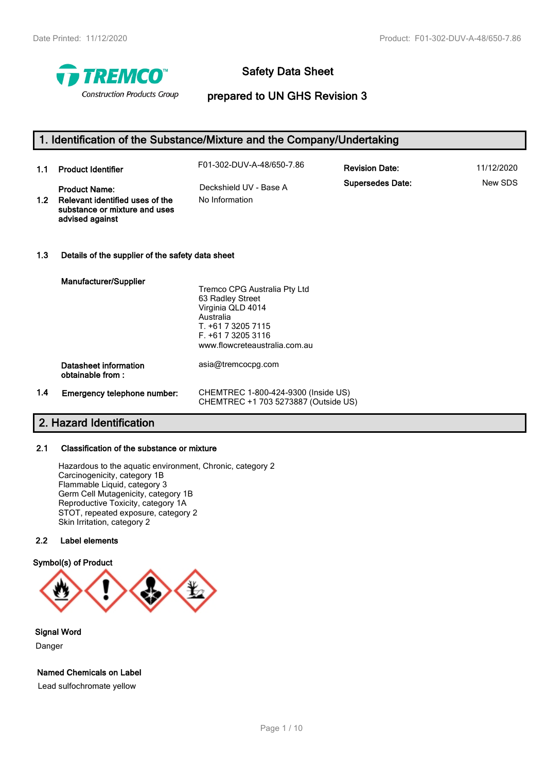

# **Safety Data Sheet**

# **prepared to UN GHS Revision 3**

|                  | 1. Identification of the Substance/Mixture and the Company/Undertaking                                      |                                                                                                                                                                 |                         |            |
|------------------|-------------------------------------------------------------------------------------------------------------|-----------------------------------------------------------------------------------------------------------------------------------------------------------------|-------------------------|------------|
| 1.1              | <b>Product Identifier</b>                                                                                   | F01-302-DUV-A-48/650-7.86                                                                                                                                       | <b>Revision Date:</b>   | 11/12/2020 |
| 1.2 <sub>1</sub> | <b>Product Name:</b><br>Relevant identified uses of the<br>substance or mixture and uses<br>advised against | Deckshield UV - Base A<br>No Information                                                                                                                        | <b>Supersedes Date:</b> | New SDS    |
| 1.3              | Details of the supplier of the safety data sheet                                                            |                                                                                                                                                                 |                         |            |
|                  | Manufacturer/Supplier                                                                                       | Tremco CPG Australia Pty Ltd<br>63 Radley Street<br>Virginia QLD 4014<br>Australia<br>T. +61 7 3205 7115<br>F. +61 7 3205 3116<br>www.flowcreteaustralia.com.au |                         |            |
|                  | Datasheet information<br>obtainable from:                                                                   | asia@tremcocpg.com                                                                                                                                              |                         |            |
| 1.4              | Emergency telephone number:                                                                                 | CHEMTREC 1-800-424-9300 (Inside US)<br>CHEMTREC +1 703 5273887 (Outside US)                                                                                     |                         |            |

# **2. Hazard Identification**

# **2.1 Classification of the substance or mixture**

Hazardous to the aquatic environment, Chronic, category 2 Carcinogenicity, category 1B Flammable Liquid, category 3 Germ Cell Mutagenicity, category 1B Reproductive Toxicity, category 1A STOT, repeated exposure, category 2 Skin Irritation, category 2

#### **2.2 Label elements**

#### **Symbol(s) of Product**



# **Signal Word**

Danger

#### **Named Chemicals on Label**

Lead sulfochromate yellow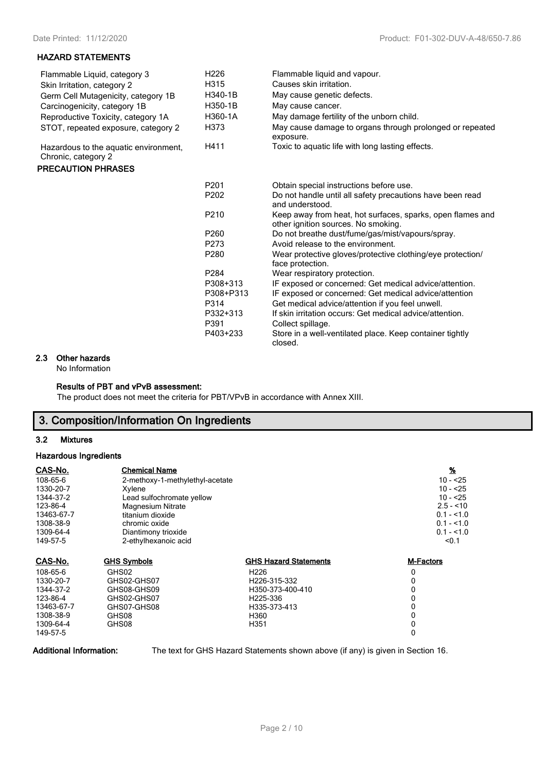#### **HAZARD STATEMENTS**

| Flammable Liquid, category 3                                 | H <sub>226</sub> | Flammable liquid and vapour.                                                                      |
|--------------------------------------------------------------|------------------|---------------------------------------------------------------------------------------------------|
| Skin Irritation, category 2                                  | H315             | Causes skin irritation.                                                                           |
| Germ Cell Mutagenicity, category 1B                          | H340-1B          | May cause genetic defects.                                                                        |
| Carcinogenicity, category 1B                                 | H350-1B          | May cause cancer.                                                                                 |
| Reproductive Toxicity, category 1A                           | H360-1A          | May damage fertility of the unborn child.                                                         |
| STOT, repeated exposure, category 2                          | H373             | May cause damage to organs through prolonged or repeated<br>exposure.                             |
| Hazardous to the aquatic environment,<br>Chronic, category 2 | H411             | Toxic to aquatic life with long lasting effects.                                                  |
| <b>PRECAUTION PHRASES</b>                                    |                  |                                                                                                   |
|                                                              | P <sub>201</sub> | Obtain special instructions before use.                                                           |
|                                                              | P202             | Do not handle until all safety precautions have been read<br>and understood.                      |
|                                                              | P210             | Keep away from heat, hot surfaces, sparks, open flames and<br>other ignition sources. No smoking. |
|                                                              | P260             | Do not breathe dust/fume/gas/mist/vapours/spray.                                                  |
|                                                              | P273             | Avoid release to the environment.                                                                 |
|                                                              | P280             | Wear protective gloves/protective clothing/eye protection/<br>face protection.                    |
|                                                              | P <sub>284</sub> | Wear respiratory protection.                                                                      |
|                                                              | P308+313         | IF exposed or concerned: Get medical advice/attention.                                            |
|                                                              | P308+P313        | IF exposed or concerned: Get medical advice/attention                                             |
|                                                              | P314             | Get medical advice/attention if you feel unwell.                                                  |
|                                                              | P332+313         | If skin irritation occurs: Get medical advice/attention.                                          |
|                                                              | P391             | Collect spillage.                                                                                 |
|                                                              | P403+233         | Store in a well-ventilated place. Keep container tightly<br>closed.                               |

#### **2.3 Other hazards**

No Information

#### **Results of PBT and vPvB assessment:**

The product does not meet the criteria for PBT/VPvB in accordance with Annex XIII.

# **3. Composition/Information On Ingredients**

#### **3.2 Mixtures**

#### **Hazardous Ingredients**

| CAS-No.    | <b>Chemical Name</b>            |                              | $\frac{9}{6}$    |
|------------|---------------------------------|------------------------------|------------------|
| 108-65-6   | 2-methoxy-1-methylethyl-acetate | $10 - 25$                    |                  |
| 1330-20-7  | Xylene                          |                              | $10 - 25$        |
| 1344-37-2  | Lead sulfochromate yellow       |                              | $10 - 25$        |
| 123-86-4   | <b>Magnesium Nitrate</b>        |                              | $2.5 - 10$       |
| 13463-67-7 | titanium dioxide                |                              | $0.1 - 1.0$      |
| 1308-38-9  | chromic oxide                   |                              | $0.1 - 1.0$      |
| 1309-64-4  | Diantimony trioxide             |                              | $0.1 - 1.0$      |
| 149-57-5   | 2-ethylhexanoic acid            |                              | < 0.1            |
| CAS-No.    | <b>GHS Symbols</b>              | <b>GHS Hazard Statements</b> | <b>M-Factors</b> |
| 108-65-6   | GHS02                           | H <sub>226</sub>             | 0                |
| 1330-20-7  | GHS02-GHS07                     | H226-315-332                 | 0                |
| 1344-37-2  | GHS08-GHS09                     | H350-373-400-410             | 0                |
| 123-86-4   | GHS02-GHS07                     | H225-336                     | 0                |
| 13463-67-7 | GHS07-GHS08                     | H335-373-413                 | 0                |
| 1308-38-9  | GHS08                           | H360                         | 0                |
| 1309-64-4  | GHS08                           | H351                         | 0                |
| 149-57-5   |                                 |                              | 0                |

**Additional Information:** The text for GHS Hazard Statements shown above (if any) is given in Section 16.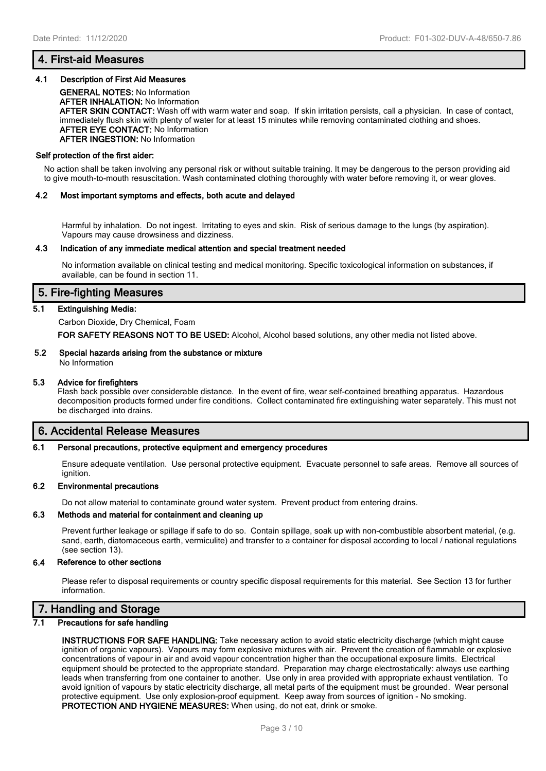### **4. First-aid Measures**

#### **4.1 Description of First Aid Measures**

**GENERAL NOTES:** No Information **AFTER INHALATION:** No Information **AFTER SKIN CONTACT:** Wash off with warm water and soap. If skin irritation persists, call a physician. In case of contact, immediately flush skin with plenty of water for at least 15 minutes while removing contaminated clothing and shoes. **AFTER EYE CONTACT:** No Information **AFTER INGESTION:** No Information

#### **Self protection of the first aider:**

No action shall be taken involving any personal risk or without suitable training. It may be dangerous to the person providing aid to give mouth-to-mouth resuscitation. Wash contaminated clothing thoroughly with water before removing it, or wear gloves.

#### **4.2 Most important symptoms and effects, both acute and delayed**

Harmful by inhalation. Do not ingest. Irritating to eyes and skin. Risk of serious damage to the lungs (by aspiration). Vapours may cause drowsiness and dizziness.

#### **4.3 Indication of any immediate medical attention and special treatment needed**

No information available on clinical testing and medical monitoring. Specific toxicological information on substances, if available, can be found in section 11.

#### **5. Fire-fighting Measures**

#### **5.1 Extinguishing Media:**

#### Carbon Dioxide, Dry Chemical, Foam

**FOR SAFETY REASONS NOT TO BE USED:** Alcohol, Alcohol based solutions, any other media not listed above.

#### **5.2 Special hazards arising from the substance or mixture**

# No Information **5.3 Advice for firefighters**

Flash back possible over considerable distance. In the event of fire, wear self-contained breathing apparatus. Hazardous decomposition products formed under fire conditions. Collect contaminated fire extinguishing water separately. This must not be discharged into drains.

#### **6. Accidental Release Measures**

#### **6.1 Personal precautions, protective equipment and emergency procedures**

Ensure adequate ventilation. Use personal protective equipment. Evacuate personnel to safe areas. Remove all sources of ignition.

#### **6.2 Environmental precautions**

Do not allow material to contaminate ground water system. Prevent product from entering drains.

#### **6.3 Methods and material for containment and cleaning up**

Prevent further leakage or spillage if safe to do so. Contain spillage, soak up with non-combustible absorbent material, (e.g. sand, earth, diatomaceous earth, vermiculite) and transfer to a container for disposal according to local / national regulations (see section 13).

#### **6.4 Reference to other sections**

Please refer to disposal requirements or country specific disposal requirements for this material. See Section 13 for further information.

#### **7. Handling and Storage**

#### **7.1 Precautions for safe handling**

**INSTRUCTIONS FOR SAFE HANDLING:** Take necessary action to avoid static electricity discharge (which might cause ignition of organic vapours). Vapours may form explosive mixtures with air. Prevent the creation of flammable or explosive concentrations of vapour in air and avoid vapour concentration higher than the occupational exposure limits. Electrical equipment should be protected to the appropriate standard. Preparation may charge electrostatically: always use earthing leads when transferring from one container to another. Use only in area provided with appropriate exhaust ventilation. To avoid ignition of vapours by static electricity discharge, all metal parts of the equipment must be grounded. Wear personal protective equipment. Use only explosion-proof equipment. Keep away from sources of ignition - No smoking. **PROTECTION AND HYGIENE MEASURES:** When using, do not eat, drink or smoke.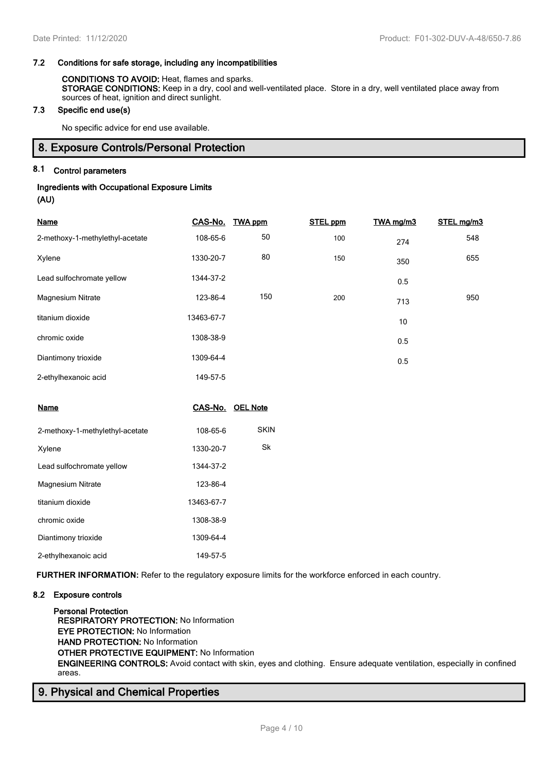#### **7.2 Conditions for safe storage, including any incompatibilities**

#### **CONDITIONS TO AVOID:** Heat, flames and sparks. **STORAGE CONDITIONS:** Keep in a dry, cool and well-ventilated place. Store in a dry, well ventilated place away from sources of heat, ignition and direct sunlight.

#### **7.3 Specific end use(s)**

No specific advice for end use available.

#### **8. Exposure Controls/Personal Protection**

#### **8.1 Control parameters**

# **Ingredients with Occupational Exposure Limits**

**(AU)**

| <b>Name</b>                     | CAS-No.    | <b>TWA ppm</b> | <b>STEL ppm</b> | TWA mg/m3 | STEL mg/m3 |
|---------------------------------|------------|----------------|-----------------|-----------|------------|
| 2-methoxy-1-methylethyl-acetate | 108-65-6   | 50             | 100             | 274       | 548        |
| Xylene                          | 1330-20-7  | 80             | 150             | 350       | 655        |
| Lead sulfochromate yellow       | 1344-37-2  |                |                 | 0.5       |            |
| <b>Magnesium Nitrate</b>        | 123-86-4   | 150            | 200             | 713       | 950        |
| titanium dioxide                | 13463-67-7 |                |                 | 10        |            |
| chromic oxide                   | 1308-38-9  |                |                 | 0.5       |            |
| Diantimony trioxide             | 1309-64-4  |                |                 | 0.5       |            |
| 2-ethylhexanoic acid            | 149-57-5   |                |                 |           |            |

| Name                            |            | CAS-No. OEL Note |
|---------------------------------|------------|------------------|
| 2-methoxy-1-methylethyl-acetate | 108-65-6   | SKIN             |
| Xylene                          | 1330-20-7  | Sk               |
| Lead sulfochromate yellow       | 1344-37-2  |                  |
| <b>Magnesium Nitrate</b>        | 123-86-4   |                  |
| titanium dioxide                | 13463-67-7 |                  |
| chromic oxide                   | 1308-38-9  |                  |
| Diantimony trioxide             | 1309-64-4  |                  |
| 2-ethylhexanoic acid            | 149-57-5   |                  |

**FURTHER INFORMATION:** Refer to the regulatory exposure limits for the workforce enforced in each country.

#### **8.2 Exposure controls**

**Personal Protection RESPIRATORY PROTECTION:** No Information **EYE PROTECTION:** No Information **HAND PROTECTION:** No Information **OTHER PROTECTIVE EQUIPMENT:** No Information **ENGINEERING CONTROLS:** Avoid contact with skin, eyes and clothing. Ensure adequate ventilation, especially in confined areas.

# **9. Physical and Chemical Properties**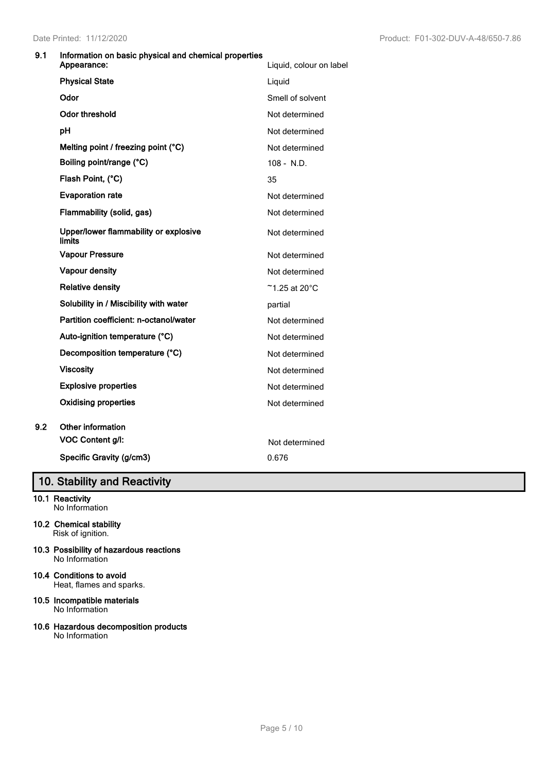#### **9.1 Information on basic physical and chemical properties**

|     | Appearance:                                     | Liquid, colour on label     |
|-----|-------------------------------------------------|-----------------------------|
|     | <b>Physical State</b>                           | Liquid                      |
|     | Odor                                            | Smell of solvent            |
|     | <b>Odor threshold</b>                           | Not determined              |
|     | pH                                              | Not determined              |
|     | Melting point / freezing point (°C)             | Not determined              |
|     | Boiling point/range (°C)                        | $108 - N.D.$                |
|     | Flash Point, (°C)                               | 35                          |
|     | <b>Evaporation rate</b>                         | Not determined              |
|     | Flammability (solid, gas)                       | Not determined              |
|     | Upper/lower flammability or explosive<br>limits | Not determined              |
|     | <b>Vapour Pressure</b>                          | Not determined              |
|     | <b>Vapour density</b>                           | Not determined              |
|     | <b>Relative density</b>                         | $~$ 1.25 at 20 $^{\circ}$ C |
|     | Solubility in / Miscibility with water          | partial                     |
|     | Partition coefficient: n-octanol/water          | Not determined              |
|     | Auto-ignition temperature (°C)                  | Not determined              |
|     | Decomposition temperature (°C)                  | Not determined              |
|     | <b>Viscosity</b>                                | Not determined              |
|     | <b>Explosive properties</b>                     | Not determined              |
|     | <b>Oxidising properties</b>                     | Not determined              |
| 9.2 | Other information                               |                             |
|     | VOC Content g/l:                                | Not determined              |
|     | Specific Gravity (g/cm3)                        | 0.676                       |

# **10. Stability and Reactivity**

#### **10.1 Reactivity** No Information

- **10.2 Chemical stability** Risk of ignition.
- **10.3 Possibility of hazardous reactions** No Information
- **10.4 Conditions to avoid** Heat, flames and sparks.
- **10.5 Incompatible materials** No Information
- **10.6 Hazardous decomposition products** No Information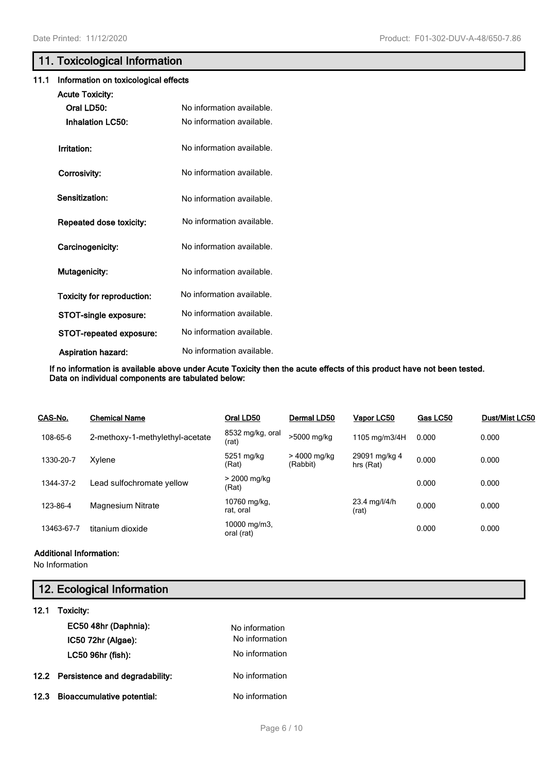# **11. Toxicological Information**

#### **11.1 Information on toxicological effects**

| <b>Acute Toxicity:</b>            |                           |
|-----------------------------------|---------------------------|
| Oral LD50:                        | No information available. |
| <b>Inhalation LC50:</b>           | No information available. |
| Irritation:                       | No information available. |
| Corrosivity:                      | No information available. |
| <b>Sensitization:</b>             | No information available. |
| Repeated dose toxicity:           | No information available. |
| Carcinogenicity:                  | No information available. |
| <b>Mutagenicity:</b>              | No information available. |
| <b>Toxicity for reproduction:</b> | No information available. |
| STOT-single exposure:             | No information available. |
| <b>STOT-repeated exposure:</b>    | No information available. |
| <b>Aspiration hazard:</b>         | No information available. |

**If no information is available above under Acute Toxicity then the acute effects of this product have not been tested. Data on individual components are tabulated below:**

| CAS-No.    | <b>Chemical Name</b>            | Oral LD50                  | Dermal LD50              | Vapor LC50                 | Gas LC50 | Dust/Mist LC50 |
|------------|---------------------------------|----------------------------|--------------------------|----------------------------|----------|----------------|
| 108-65-6   | 2-methoxy-1-methylethyl-acetate | 8532 mg/kg, oral<br>(rat)  | >5000 mg/kg              | 1105 mg/m3/4H              | 0.000    | 0.000          |
| 1330-20-7  | Xylene                          | 5251 mg/kg<br>(Rat)        | > 4000 mg/kg<br>(Rabbit) | 29091 mg/kg 4<br>hrs (Rat) | 0.000    | 0.000          |
| 1344-37-2  | Lead sulfochromate yellow       | > 2000 mg/kg<br>(Rat)      |                          |                            | 0.000    | 0.000          |
| 123-86-4   | <b>Magnesium Nitrate</b>        | 10760 mg/kg,<br>rat, oral  |                          | 23.4 mg/l/4/h<br>(rat)     | 0.000    | 0.000          |
| 13463-67-7 | titanium dioxide                | 10000 mg/m3.<br>oral (rat) |                          |                            | 0.000    | 0.000          |

#### **Additional Information:**

No Information

# **12. Ecological Information**

| 12.1 | Toxicity:                           |                |
|------|-------------------------------------|----------------|
|      | EC50 48hr (Daphnia):                | No information |
|      | IC50 72hr (Algae):                  | No information |
|      | LC50 96hr (fish):                   | No information |
|      | 12.2 Persistence and degradability: | No information |
| 12.3 | <b>Bioaccumulative potential:</b>   | No information |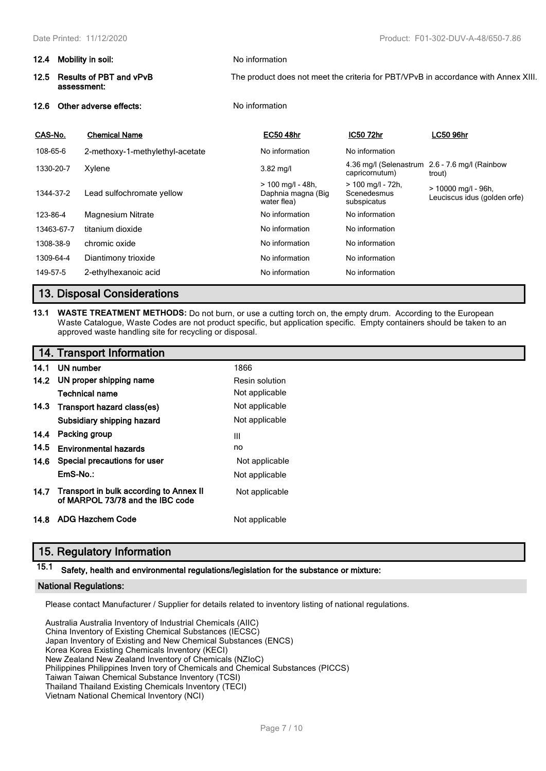| 12.4       | Mobility in soil:                             | No information                                           |                                                   |                                                                                    |  |
|------------|-----------------------------------------------|----------------------------------------------------------|---------------------------------------------------|------------------------------------------------------------------------------------|--|
| 12.5       | <b>Results of PBT and vPvB</b><br>assessment: |                                                          |                                                   | The product does not meet the criteria for PBT/VPvB in accordance with Annex XIII. |  |
| 12.6       | Other adverse effects:                        | No information                                           |                                                   |                                                                                    |  |
| CAS-No.    | <b>Chemical Name</b>                          | <b>EC50 48hr</b>                                         | <b>IC50 72hr</b>                                  | <b>LC50 96hr</b>                                                                   |  |
| 108-65-6   | 2-methoxy-1-methylethyl-acetate               | No information                                           | No information                                    |                                                                                    |  |
| 1330-20-7  | Xylene                                        | $3.82$ mg/l                                              | 4.36 mg/l (Selenastrum<br>capricornutum)          | 2.6 - 7.6 mg/l (Rainbow<br>trout)                                                  |  |
| 1344-37-2  | Lead sulfochromate yellow                     | $> 100$ mg/l - 48h,<br>Daphnia magna (Big<br>water flea) | $> 100$ mg/l - 72h,<br>Scenedesmus<br>subspicatus | > 10000 mg/l - 96h,<br>Leuciscus idus (golden orfe)                                |  |
| 123-86-4   | Magnesium Nitrate                             | No information                                           | No information                                    |                                                                                    |  |
| 13463-67-7 | titanium dioxide                              | No information                                           | No information                                    |                                                                                    |  |
| 1308-38-9  | chromic oxide                                 | No information                                           | No information                                    |                                                                                    |  |

# **13. Disposal Considerations**

**13.1 WASTE TREATMENT METHODS:** Do not burn, or use a cutting torch on, the empty drum. According to the European Waste Catalogue, Waste Codes are not product specific, but application specific. Empty containers should be taken to an approved waste handling site for recycling or disposal.

# **14. Transport Information**

| 14.1 | UN number                                                                   | 1866           |
|------|-----------------------------------------------------------------------------|----------------|
|      | 14.2 UN proper shipping name                                                | Resin solution |
|      | <b>Technical name</b>                                                       | Not applicable |
|      | 14.3 Transport hazard class(es)                                             | Not applicable |
|      | Subsidiary shipping hazard                                                  | Not applicable |
| 14.4 | Packing group                                                               | Ш              |
| 14.5 | <b>Environmental hazards</b>                                                | no             |
| 14.6 | Special precautions for user                                                | Not applicable |
|      | $EmS-No.$ :                                                                 | Not applicable |
| 14.7 | Transport in bulk according to Annex II<br>of MARPOL 73/78 and the IBC code | Not applicable |
| 14.8 | ADG Hazchem Code                                                            | Not applicable |

1309-64-4 Diantimony trioxide Noire Noinformation Noinformation Noinformation 149-57-5 2-ethylhexanoic acid Chronic Research No information No information

# **15. Regulatory Information**

# **15.1 Safety, health and environmental regulations/legislation for the substance or mixture:**

#### **National Regulations:**

Please contact Manufacturer / Supplier for details related to inventory listing of national regulations.

Australia Australia Inventory of Industrial Chemicals (AIIC) China Inventory of Existing Chemical Substances (IECSC) Japan Inventory of Existing and New Chemical Substances (ENCS) Korea Korea Existing Chemicals Inventory (KECI) New Zealand New Zealand Inventory of Chemicals (NZIoC) Philippines Philippines Inven tory of Chemicals and Chemical Substances (PICCS) Taiwan Taiwan Chemical Substance Inventory (TCSI) Thailand Thailand Existing Chemicals Inventory (TECI) Vietnam National Chemical Inventory (NCI)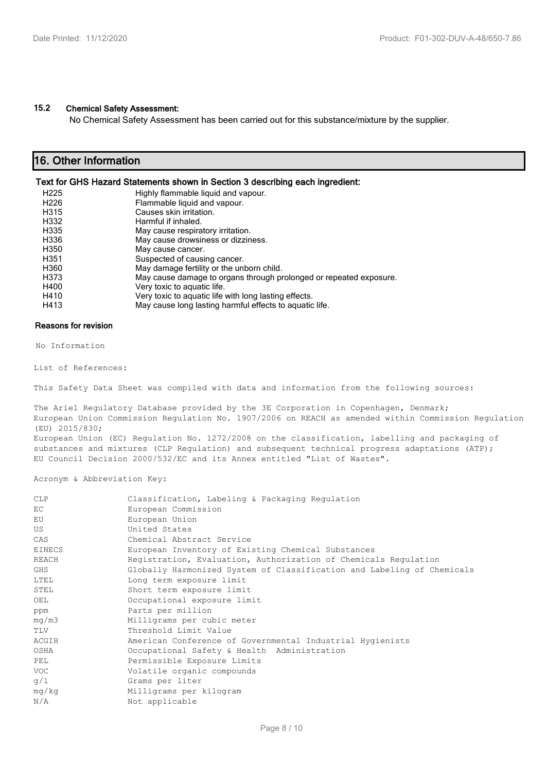#### **15.2 Chemical Safety Assessment:**

No Chemical Safety Assessment has been carried out for this substance/mixture by the supplier.

# **16. Other Information**

#### **Text for GHS Hazard Statements shown in Section 3 describing each ingredient:**

| H <sub>225</sub> | Highly flammable liquid and vapour.                                |
|------------------|--------------------------------------------------------------------|
| H <sub>226</sub> | Flammable liquid and vapour.                                       |
| H315             | Causes skin irritation.                                            |
| H332             | Harmful if inhaled.                                                |
| H335             | May cause respiratory irritation.                                  |
| H336             | May cause drowsiness or dizziness.                                 |
| H350             | May cause cancer.                                                  |
| H351             | Suspected of causing cancer.                                       |
| H360             | May damage fertility or the unborn child.                          |
| H373             | May cause damage to organs through prolonged or repeated exposure. |
| H400             | Very toxic to aquatic life.                                        |
| H410             | Very toxic to aquatic life with long lasting effects.              |
| H413             | May cause long lasting harmful effects to aquatic life.            |
|                  |                                                                    |

#### **Reasons for revision**

No Information

List of References:

This Safety Data Sheet was compiled with data and information from the following sources:

The Ariel Regulatory Database provided by the 3E Corporation in Copenhagen, Denmark; European Union Commission Regulation No. 1907/2006 on REACH as amended within Commission Regulation (EU) 2015/830; European Union (EC) Regulation No. 1272/2008 on the classification, labelling and packaging of substances and mixtures (CLP Regulation) and subsequent technical progress adaptations (ATP); EU Council Decision 2000/532/EC and its Annex entitled "List of Wastes".

Acronym & Abbreviation Key:

| <b>CLP</b>    | Classification, Labeling & Packaging Regulation                        |
|---------------|------------------------------------------------------------------------|
| EC            | European Commission                                                    |
| EU            | European Union                                                         |
| US            | United States                                                          |
| CAS           | Chemical Abstract Service                                              |
| <b>EINECS</b> | European Inventory of Existing Chemical Substances                     |
| <b>REACH</b>  | Registration, Evaluation, Authorization of Chemicals Regulation        |
| GHS           | Globally Harmonized System of Classification and Labeling of Chemicals |
| LTEL          | Long term exposure limit                                               |
| STEL          | Short term exposure limit                                              |
| OEL           | Occupational exposure limit                                            |
| ppm           | Parts per million                                                      |
| mq/m3         | Milligrams per cubic meter                                             |
| TLV           | Threshold Limit Value                                                  |
| ACGIH         | American Conference of Governmental Industrial Hygienists              |
| OSHA          | Occupational Safety & Health Administration                            |
| PEL           | Permissible Exposure Limits                                            |
| <b>VOC</b>    | Volatile organic compounds                                             |
| q/1           | Grams per liter                                                        |
| mq/kg         | Milligrams per kilogram                                                |
| N/A           | Not applicable                                                         |